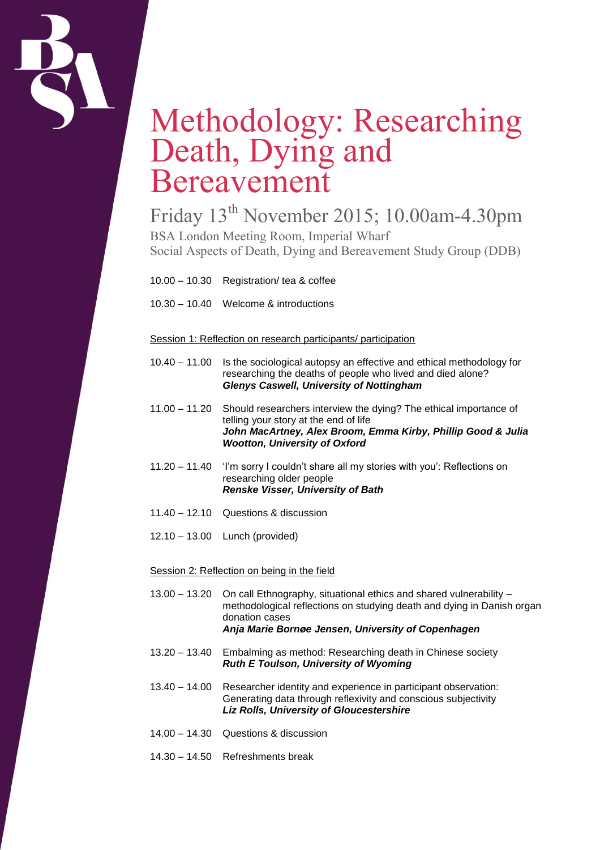

## Methodology: Researching Death, Dying and Bereavement

Friday 13th November 2015; 10.00am-4.30pm BSA London Meeting Room, Imperial Wharf Social Aspects of Death, Dying and Bereavement Study Group (DDB)

10.00 – 10.30 Registration/ tea & coffee

10.30 – 10.40 Welcome & introductions

## Session 1: Reflection on research participants/ participation

- 10.40 11.00 Is the sociological autopsy an effective and ethical methodology for researching the deaths of people who lived and died alone? *Glenys Caswell, University of Nottingham*
- 11.00 11.20 Should researchers interview the dying? The ethical importance of telling your story at the end of life *John MacArtney, Alex Broom, Emma Kirby, Phillip Good & Julia Wootton, University of Oxford*
- 11.20 11.40 'I'm sorry I couldn't share all my stories with you': Reflections on researching older people *Renske Visser, University of Bath*
- 11.40 12.10 Questions & discussion
- 12.10 13.00 Lunch (provided)

## Session 2: Reflection on being in the field

- 13.00 13.20 On call Ethnography, situational ethics and shared vulnerability methodological reflections on studying death and dying in Danish organ donation cases *Anja Marie Bornøe Jensen, University of Copenhagen*
- 13.20 13.40 Embalming as method: Researching death in Chinese society *Ruth E Toulson, University of Wyoming*
- 13.40 14.00 Researcher identity and experience in participant observation: Generating data through reflexivity and conscious subjectivity *Liz Rolls, University of Gloucestershire*
- 14.00 14.30 Questions & discussion
- 14.30 14.50 Refreshments break